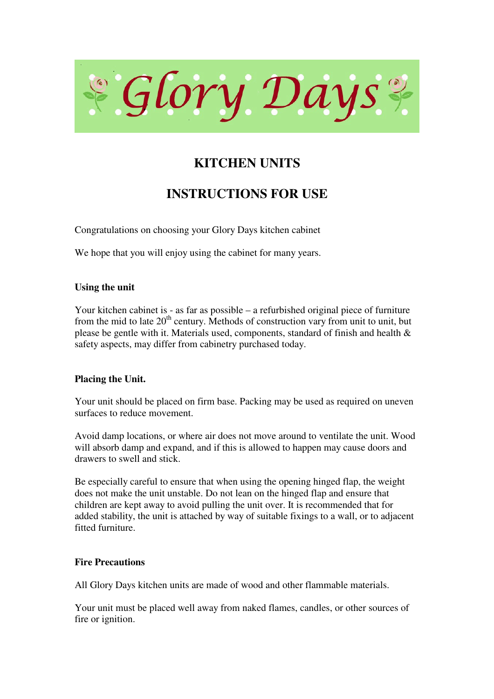

# **KITCHEN UNITS**

# **INSTRUCTIONS FOR USE**

Congratulations on choosing your Glory Days kitchen cabinet

We hope that you will enjoy using the cabinet for many years.

# **Using the unit**

Your kitchen cabinet is - as far as possible – a refurbished original piece of furniture from the mid to late  $20<sup>th</sup>$  century. Methods of construction vary from unit to unit, but please be gentle with it. Materials used, components, standard of finish and health & safety aspects, may differ from cabinetry purchased today.

# **Placing the Unit.**

Your unit should be placed on firm base. Packing may be used as required on uneven surfaces to reduce movement.

Avoid damp locations, or where air does not move around to ventilate the unit. Wood will absorb damp and expand, and if this is allowed to happen may cause doors and drawers to swell and stick.

Be especially careful to ensure that when using the opening hinged flap, the weight does not make the unit unstable. Do not lean on the hinged flap and ensure that children are kept away to avoid pulling the unit over. It is recommended that for added stability, the unit is attached by way of suitable fixings to a wall, or to adjacent fitted furniture.

## **Fire Precautions**

All Glory Days kitchen units are made of wood and other flammable materials.

Your unit must be placed well away from naked flames, candles, or other sources of fire or ignition.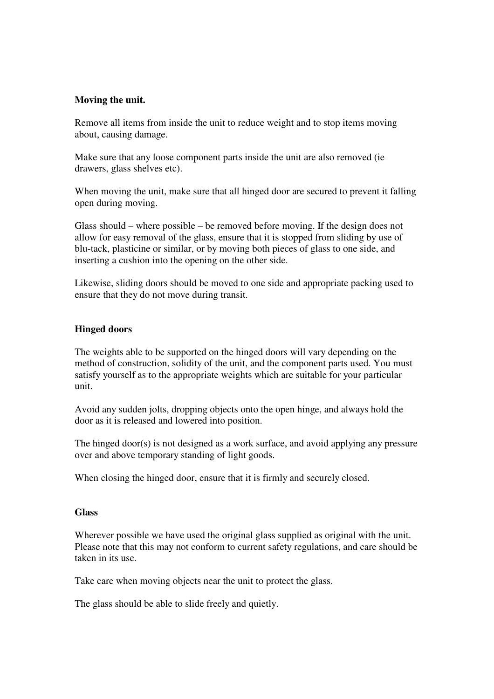## **Moving the unit.**

Remove all items from inside the unit to reduce weight and to stop items moving about, causing damage.

Make sure that any loose component parts inside the unit are also removed (ie drawers, glass shelves etc).

When moving the unit, make sure that all hinged door are secured to prevent it falling open during moving.

Glass should – where possible – be removed before moving. If the design does not allow for easy removal of the glass, ensure that it is stopped from sliding by use of blu-tack, plasticine or similar, or by moving both pieces of glass to one side, and inserting a cushion into the opening on the other side.

Likewise, sliding doors should be moved to one side and appropriate packing used to ensure that they do not move during transit.

#### **Hinged doors**

The weights able to be supported on the hinged doors will vary depending on the method of construction, solidity of the unit, and the component parts used. You must satisfy yourself as to the appropriate weights which are suitable for your particular unit.

Avoid any sudden jolts, dropping objects onto the open hinge, and always hold the door as it is released and lowered into position.

The hinged door(s) is not designed as a work surface, and avoid applying any pressure over and above temporary standing of light goods.

When closing the hinged door, ensure that it is firmly and securely closed.

#### **Glass**

Wherever possible we have used the original glass supplied as original with the unit. Please note that this may not conform to current safety regulations, and care should be taken in its use.

Take care when moving objects near the unit to protect the glass.

The glass should be able to slide freely and quietly.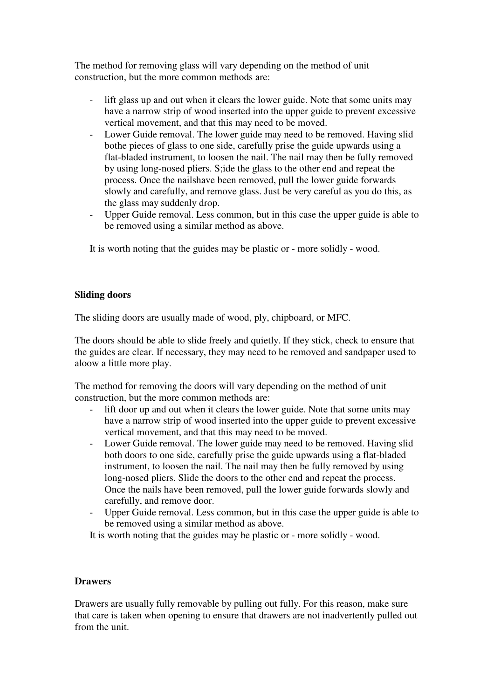The method for removing glass will vary depending on the method of unit construction, but the more common methods are:

- lift glass up and out when it clears the lower guide. Note that some units may have a narrow strip of wood inserted into the upper guide to prevent excessive vertical movement, and that this may need to be moved.
- Lower Guide removal. The lower guide may need to be removed. Having slid bothe pieces of glass to one side, carefully prise the guide upwards using a flat-bladed instrument, to loosen the nail. The nail may then be fully removed by using long-nosed pliers. S;ide the glass to the other end and repeat the process. Once the nailshave been removed, pull the lower guide forwards slowly and carefully, and remove glass. Just be very careful as you do this, as the glass may suddenly drop.
- Upper Guide removal. Less common, but in this case the upper guide is able to be removed using a similar method as above.

It is worth noting that the guides may be plastic or - more solidly - wood.

# **Sliding doors**

The sliding doors are usually made of wood, ply, chipboard, or MFC.

The doors should be able to slide freely and quietly. If they stick, check to ensure that the guides are clear. If necessary, they may need to be removed and sandpaper used to aloow a little more play.

The method for removing the doors will vary depending on the method of unit construction, but the more common methods are:

- lift door up and out when it clears the lower guide. Note that some units may have a narrow strip of wood inserted into the upper guide to prevent excessive vertical movement, and that this may need to be moved.
- Lower Guide removal. The lower guide may need to be removed. Having slid both doors to one side, carefully prise the guide upwards using a flat-bladed instrument, to loosen the nail. The nail may then be fully removed by using long-nosed pliers. Slide the doors to the other end and repeat the process. Once the nails have been removed, pull the lower guide forwards slowly and carefully, and remove door.
- Upper Guide removal. Less common, but in this case the upper guide is able to be removed using a similar method as above.

It is worth noting that the guides may be plastic or - more solidly - wood.

## **Drawers**

Drawers are usually fully removable by pulling out fully. For this reason, make sure that care is taken when opening to ensure that drawers are not inadvertently pulled out from the unit.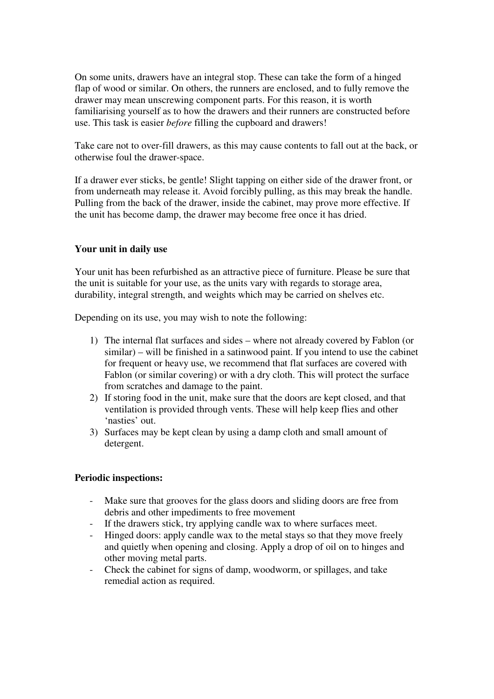On some units, drawers have an integral stop. These can take the form of a hinged flap of wood or similar. On others, the runners are enclosed, and to fully remove the drawer may mean unscrewing component parts. For this reason, it is worth familiarising yourself as to how the drawers and their runners are constructed before use. This task is easier *before* filling the cupboard and drawers!

Take care not to over-fill drawers, as this may cause contents to fall out at the back, or otherwise foul the drawer-space.

If a drawer ever sticks, be gentle! Slight tapping on either side of the drawer front, or from underneath may release it. Avoid forcibly pulling, as this may break the handle. Pulling from the back of the drawer, inside the cabinet, may prove more effective. If the unit has become damp, the drawer may become free once it has dried.

# **Your unit in daily use**

Your unit has been refurbished as an attractive piece of furniture. Please be sure that the unit is suitable for your use, as the units vary with regards to storage area, durability, integral strength, and weights which may be carried on shelves etc.

Depending on its use, you may wish to note the following:

- 1) The internal flat surfaces and sides where not already covered by Fablon (or similar) – will be finished in a satinwood paint. If you intend to use the cabinet for frequent or heavy use, we recommend that flat surfaces are covered with Fablon (or similar covering) or with a dry cloth. This will protect the surface from scratches and damage to the paint.
- 2) If storing food in the unit, make sure that the doors are kept closed, and that ventilation is provided through vents. These will help keep flies and other 'nasties' out.
- 3) Surfaces may be kept clean by using a damp cloth and small amount of detergent.

## **Periodic inspections:**

- Make sure that grooves for the glass doors and sliding doors are free from debris and other impediments to free movement
- If the drawers stick, try applying candle wax to where surfaces meet.
- Hinged doors: apply candle wax to the metal stays so that they move freely and quietly when opening and closing. Apply a drop of oil on to hinges and other moving metal parts.
- Check the cabinet for signs of damp, woodworm, or spillages, and take remedial action as required.